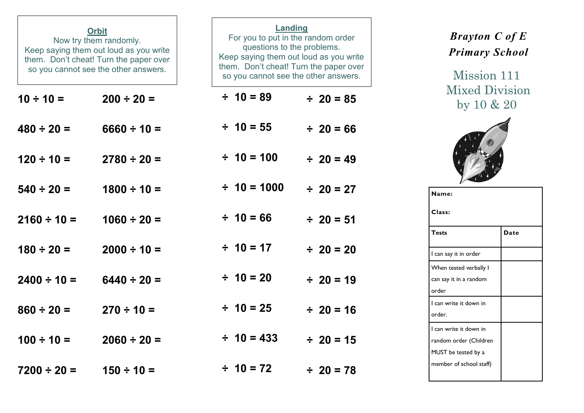| <b>Orbit</b><br>Now try them randomly.<br>Keep saying them out loud as you write<br>them. Don't cheat! Turn the paper over<br>so you cannot see the other answers. |                  | <b>Landing</b><br>For you to put in the random order<br>questions to the problems.<br>Keep saying them out loud as you write<br>them. Don't cheat! Turn the paper over<br>so you cannot see the other answers. |                 |                  |  |                |  |
|--------------------------------------------------------------------------------------------------------------------------------------------------------------------|------------------|----------------------------------------------------------------------------------------------------------------------------------------------------------------------------------------------------------------|-----------------|------------------|--|----------------|--|
| $10 \div 10 =$                                                                                                                                                     | $200 \div 20 =$  |                                                                                                                                                                                                                | $\div$ 10 = 89  |                  |  | $\div$ 20 = 85 |  |
| $480 \div 20 =$                                                                                                                                                    | $6660 \div 10 =$ |                                                                                                                                                                                                                | $\div$ 10 = 55  |                  |  | $\div$ 20 = 66 |  |
| $120 \div 10 =$                                                                                                                                                    | $2780 \div 20 =$ |                                                                                                                                                                                                                | $\div$ 10 = 100 |                  |  | $\div$ 20 = 49 |  |
| $540 \div 20 =$                                                                                                                                                    | $1800 \div 10 =$ |                                                                                                                                                                                                                |                 | $\div$ 10 = 1000 |  | $\div$ 20 = 27 |  |
| $2160 \div 10 =$                                                                                                                                                   | $1060 \div 20 =$ |                                                                                                                                                                                                                | $\div$ 10 = 66  |                  |  | $\div$ 20 = 51 |  |
| $180 \div 20 =$                                                                                                                                                    | $2000 \div 10 =$ |                                                                                                                                                                                                                | $\div$ 10 = 17  |                  |  | $\div$ 20 = 20 |  |
| $2400 \div 10 =$                                                                                                                                                   | $6440 \div 20 =$ |                                                                                                                                                                                                                | $\div$ 10 = 20  |                  |  | $\div$ 20 = 19 |  |
| $860 \div 20 =$                                                                                                                                                    | $270 \div 10 =$  |                                                                                                                                                                                                                | $\div$ 10 = 25  |                  |  | $\div$ 20 = 16 |  |
| $100 \div 10 =$                                                                                                                                                    | $2060 \div 20 =$ |                                                                                                                                                                                                                | $\div$ 10 = 433 |                  |  | $\div$ 20 = 15 |  |
| $7200 \div 20 =$                                                                                                                                                   | $150 \div 10 =$  |                                                                                                                                                                                                                | $\div$ 10 = 72  |                  |  | $\div$ 20 = 78 |  |

## *Brayton C of E Primary School*

Mission 111 Mixed Division by 10 & 20



| Name:                   |      |  |  |  |  |
|-------------------------|------|--|--|--|--|
| Class:                  |      |  |  |  |  |
| <b>Tests</b>            | Date |  |  |  |  |
| I can say it in order   |      |  |  |  |  |
| When tested verbally I  |      |  |  |  |  |
| can say it in a random  |      |  |  |  |  |
| order                   |      |  |  |  |  |
| I can write it down in  |      |  |  |  |  |
| order.                  |      |  |  |  |  |
| I can write it down in  |      |  |  |  |  |
| random order (Children  |      |  |  |  |  |
| MUST be tested by a     |      |  |  |  |  |
| member of school staff) |      |  |  |  |  |
|                         |      |  |  |  |  |